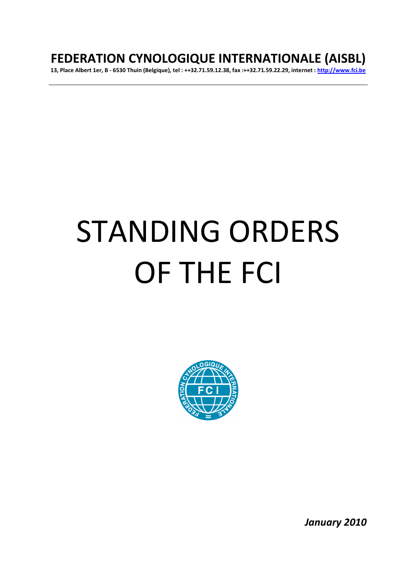# **FEDERATION CYNOLOGIQUE INTERNATIONALE (AISBL)**

**13, Place Albert 1er, B - 6530 Thuin (Belgique), tel : ++32.71.59.12.38, fax :++32.71.59.22.29, internet : http://www.fci.be**

# STANDING ORDERS OF THE FCI



*January 2010*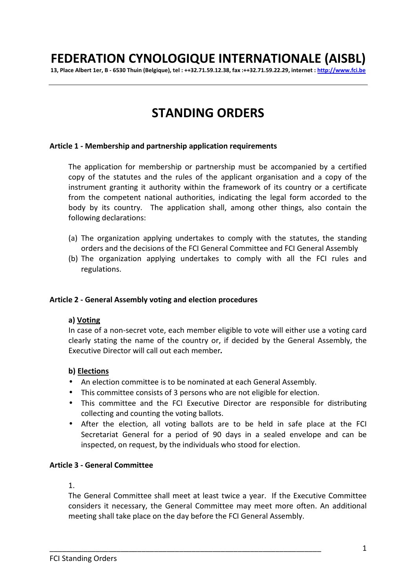# **FEDERATION CYNOLOGIQUE INTERNATIONALE (AISBL)**

**13, Place Albert 1er, B - 6530 Thuin (Belgique), tel : ++32.71.59.12.38, fax :++32.71.59.22.29, internet : http://www.fci.be**

# **STANDING ORDERS**

#### **Article 1 - Membership and partnership application requirements**

The application for membership or partnership must be accompanied by a certified copy of the statutes and the rules of the applicant organisation and a copy of the instrument granting it authority within the framework of its country or a certificate from the competent national authorities, indicating the legal form accorded to the body by its country. The application shall, among other things, also contain the following declarations:

- (a) The organization applying undertakes to comply with the statutes, the standing orders and the decisions of the FCI General Committee and FCI General Assembly
- (b) The organization applying undertakes to comply with all the FCI rules and regulations.

#### **Article 2 - General Assembly voting and election procedures**

#### **a) Voting**

In case of a non-secret vote, each member eligible to vote will either use a voting card clearly stating the name of the country or, if decided by the General Assembly, the Executive Director will call out each member*.*

#### **b) Elections**

- An election committee is to be nominated at each General Assembly.
- This committee consists of 3 persons who are not eligible for election.

\_\_\_\_\_\_\_\_\_\_\_\_\_\_\_\_\_\_\_\_\_\_\_\_\_\_\_\_\_\_\_\_\_\_\_\_\_\_\_\_\_\_\_\_\_\_\_\_\_\_\_\_\_\_\_\_\_\_\_\_\_\_\_\_\_

- This committee and the FCI Executive Director are responsible for distributing collecting and counting the voting ballots.
- After the election, all voting ballots are to be held in safe place at the FCI Secretariat General for a period of 90 days in a sealed envelope and can be inspected, on request, by the individuals who stood for election.

#### **Article 3 - General Committee**

1.

The General Committee shall meet at least twice a year. If the Executive Committee considers it necessary, the General Committee may meet more often. An additional meeting shall take place on the day before the FCI General Assembly.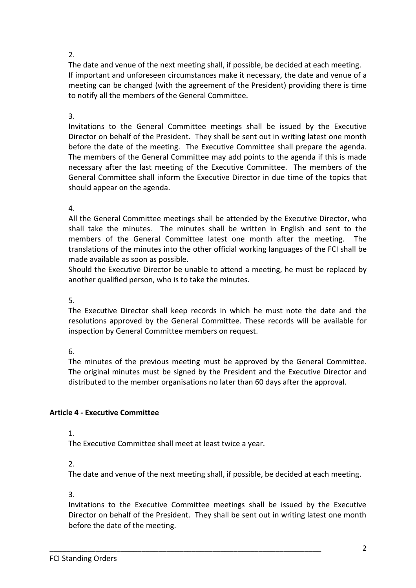# 2.

The date and venue of the next meeting shall, if possible, be decided at each meeting. If important and unforeseen circumstances make it necessary, the date and venue of a meeting can be changed (with the agreement of the President) providing there is time to notify all the members of the General Committee.

3.

Invitations to the General Committee meetings shall be issued by the Executive Director on behalf of the President. They shall be sent out in writing latest one month before the date of the meeting. The Executive Committee shall prepare the agenda. The members of the General Committee may add points to the agenda if this is made necessary after the last meeting of the Executive Committee. The members of the General Committee shall inform the Executive Director in due time of the topics that should appear on the agenda.

4.

All the General Committee meetings shall be attended by the Executive Director, who shall take the minutes. The minutes shall be written in English and sent to the members of the General Committee latest one month after the meeting. The translations of the minutes into the other official working languages of the FCI shall be made available as soon as possible.

Should the Executive Director be unable to attend a meeting, he must be replaced by another qualified person, who is to take the minutes.

5.

The Executive Director shall keep records in which he must note the date and the resolutions approved by the General Committee. These records will be available for inspection by General Committee members on request.

6.

The minutes of the previous meeting must be approved by the General Committee. The original minutes must be signed by the President and the Executive Director and distributed to the member organisations no later than 60 days after the approval.

# **Article 4 - Executive Committee**

1.

The Executive Committee shall meet at least twice a year.

 $\mathcal{P}$ 

The date and venue of the next meeting shall, if possible, be decided at each meeting.

3.

Invitations to the Executive Committee meetings shall be issued by the Executive Director on behalf of the President. They shall be sent out in writing latest one month before the date of the meeting.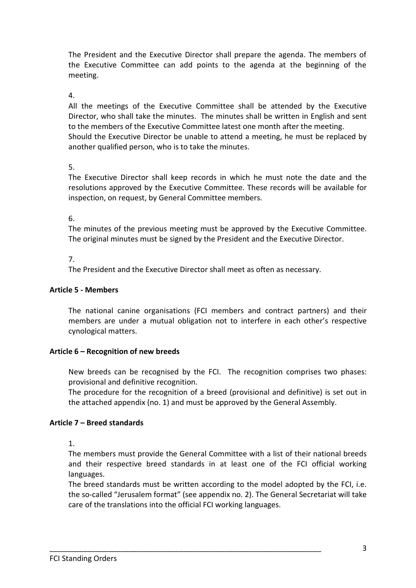The President and the Executive Director shall prepare the agenda. The members of the Executive Committee can add points to the agenda at the beginning of the meeting.

4.

All the meetings of the Executive Committee shall be attended by the Executive Director, who shall take the minutes. The minutes shall be written in English and sent to the members of the Executive Committee latest one month after the meeting. Should the Executive Director be unable to attend a meeting, he must be replaced by another qualified person, who is to take the minutes.

# 5.

The Executive Director shall keep records in which he must note the date and the resolutions approved by the Executive Committee. These records will be available for inspection, on request, by General Committee members.

6.

The minutes of the previous meeting must be approved by the Executive Committee. The original minutes must be signed by the President and the Executive Director.

# 7.

The President and the Executive Director shall meet as often as necessary.

# **Article 5 - Members**

The national canine organisations (FCI members and contract partners) and their members are under a mutual obligation not to interfere in each other's respective cynological matters.

# **Article 6 – Recognition of new breeds**

New breeds can be recognised by the FCI. The recognition comprises two phases: provisional and definitive recognition.

The procedure for the recognition of a breed (provisional and definitive) is set out in the attached appendix (no. 1) and must be approved by the General Assembly.

# **Article 7 – Breed standards**

1.

The members must provide the General Committee with a list of their national breeds and their respective breed standards in at least one of the FCI official working languages.

The breed standards must be written according to the model adopted by the FCI, i.e. the so-called "Jerusalem format" (see appendix no. 2). The General Secretariat will take care of the translations into the official FCI working languages.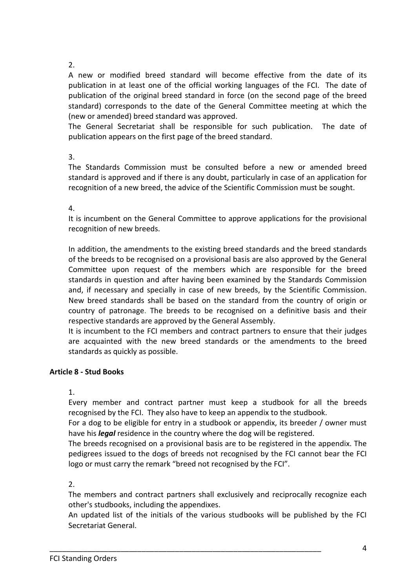# 2.

A new or modified breed standard will become effective from the date of its publication in at least one of the official working languages of the FCI. The date of publication of the original breed standard in force (on the second page of the breed standard) corresponds to the date of the General Committee meeting at which the (new or amended) breed standard was approved.

The General Secretariat shall be responsible for such publication. The date of publication appears on the first page of the breed standard.

3.

The Standards Commission must be consulted before a new or amended breed standard is approved and if there is any doubt, particularly in case of an application for recognition of a new breed, the advice of the Scientific Commission must be sought.

4.

It is incumbent on the General Committee to approve applications for the provisional recognition of new breeds.

In addition, the amendments to the existing breed standards and the breed standards of the breeds to be recognised on a provisional basis are also approved by the General Committee upon request of the members which are responsible for the breed standards in question and after having been examined by the Standards Commission and, if necessary and specially in case of new breeds, by the Scientific Commission. New breed standards shall be based on the standard from the country of origin or country of patronage. The breeds to be recognised on a definitive basis and their respective standards are approved by the General Assembly.

It is incumbent to the FCI members and contract partners to ensure that their judges are acquainted with the new breed standards or the amendments to the breed standards as quickly as possible.

# **Article 8 - Stud Books**

1.

Every member and contract partner must keep a studbook for all the breeds recognised by the FCI. They also have to keep an appendix to the studbook.

For a dog to be eligible for entry in a studbook or appendix, its breeder / owner must have his *legal* residence in the country where the dog will be registered.

The breeds recognised on a provisional basis are to be registered in the appendix. The pedigrees issued to the dogs of breeds not recognised by the FCI cannot bear the FCI logo or must carry the remark "breed not recognised by the FCI".

2.

The members and contract partners shall exclusively and reciprocally recognize each other's studbooks, including the appendixes.

An updated list of the initials of the various studbooks will be published by the FCI Secretariat General.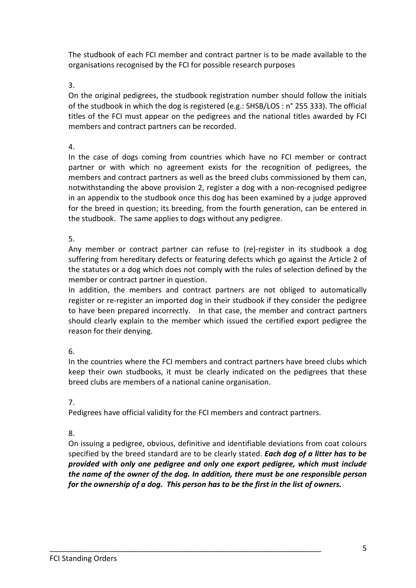The studbook of each FCI member and contract partner is to be made available to the organisations recognised by the FCI for possible research purposes

3.

On the original pedigrees, the studbook registration number should follow the initials of the studbook in which the dog is registered (e.g.: SHSB/LOS : n° 255 333). The official titles of the FCI must appear on the pedigrees and the national titles awarded by FCI members and contract partners can be recorded.

4.

In the case of dogs coming from countries which have no FCI member or contract partner or with which no agreement exists for the recognition of pedigrees, the members and contract partners as well as the breed clubs commissioned by them can, notwithstanding the above provision 2, register a dog with a non-recognised pedigree in an appendix to the studbook once this dog has been examined by a judge approved for the breed in question; its breeding, from the fourth generation, can be entered in the studbook. The same applies to dogs without any pedigree.

5.

Any member or contract partner can refuse to (re)-register in its studbook a dog suffering from hereditary defects or featuring defects which go against the Article 2 of the statutes or a dog which does not comply with the rules of selection defined by the member or contract partner in question.

In addition, the members and contract partners are not obliged to automatically register or re-register an imported dog in their studbook if they consider the pedigree to have been prepared incorrectly. In that case, the member and contract partners should clearly explain to the member which issued the certified export pedigree the reason for their denying.

6.

In the countries where the FCI members and contract partners have breed clubs which keep their own studbooks, it must be clearly indicated on the pedigrees that these breed clubs are members of a national canine organisation.

7.

Pedigrees have official validity for the FCI members and contract partners.

\_\_\_\_\_\_\_\_\_\_\_\_\_\_\_\_\_\_\_\_\_\_\_\_\_\_\_\_\_\_\_\_\_\_\_\_\_\_\_\_\_\_\_\_\_\_\_\_\_\_\_\_\_\_\_\_\_\_\_\_\_\_\_\_\_

8.

On issuing a pedigree, obvious, definitive and identifiable deviations from coat colours specified by the breed standard are to be clearly stated. *Each dog of a litter has to be provided with only one pedigree and only one export pedigree, which must include the name of the owner of the dog. In addition, there must be one responsible person for the ownership of a dog. This person has to be the first in the list of owners.*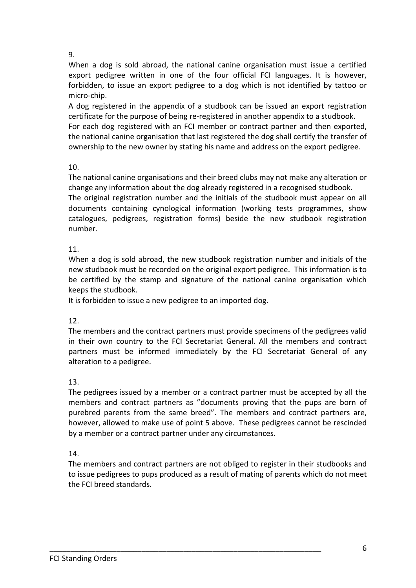9.

When a dog is sold abroad, the national canine organisation must issue a certified export pedigree written in one of the four official FCI languages. It is however, forbidden, to issue an export pedigree to a dog which is not identified by tattoo or micro-chip.

A dog registered in the appendix of a studbook can be issued an export registration certificate for the purpose of being re-registered in another appendix to a studbook. For each dog registered with an FCI member or contract partner and then exported, the national canine organisation that last registered the dog shall certify the transfer of ownership to the new owner by stating his name and address on the export pedigree*.*

# 10.

The national canine organisations and their breed clubs may not make any alteration or change any information about the dog already registered in a recognised studbook.

The original registration number and the initials of the studbook must appear on all documents containing cynological information (working tests programmes, show catalogues, pedigrees, registration forms) beside the new studbook registration number.

# 11.

When a dog is sold abroad, the new studbook registration number and initials of the new studbook must be recorded on the original export pedigree. This information is to be certified by the stamp and signature of the national canine organisation which keeps the studbook.

It is forbidden to issue a new pedigree to an imported dog.

12.

The members and the contract partners must provide specimens of the pedigrees valid in their own country to the FCI Secretariat General. All the members and contract partners must be informed immediately by the FCI Secretariat General of any alteration to a pedigree.

# 13.

The pedigrees issued by a member or a contract partner must be accepted by all the members and contract partners as "documents proving that the pups are born of purebred parents from the same breed". The members and contract partners are, however, allowed to make use of point 5 above.These pedigrees cannot be rescinded by a member or a contract partner under any circumstances.

14.

The members and contract partners are not obliged to register in their studbooks and to issue pedigrees to pups produced as a result of mating of parents which do not meet the FCI breed standards.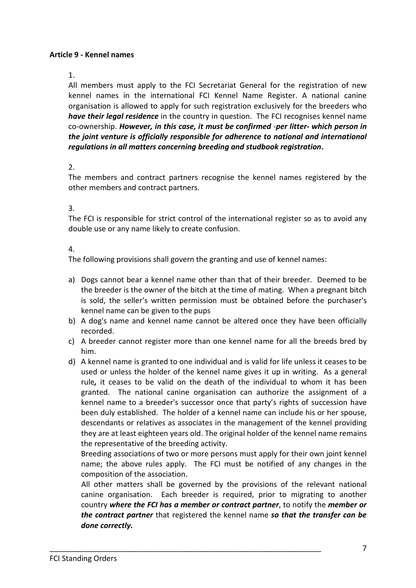### **Article 9 - Kennel names**

#### 1.

All members must apply to the FCI Secretariat General for the registration of new kennel names in the international FCI Kennel Name Register. A national canine organisation is allowed to apply for such registration exclusively for the breeders who *have their legal residence* in the country in question. The FCI recognises kennel name co-ownership. *However, in this case, it must be confirmed -per litter- which person in the joint venture is officially responsible for adherence to national and international regulations in all matters concerning breeding and studbook registration***.**

# 2.

The members and contract partners recognise the kennel names registered by the other members and contract partners.

# 3.

The FCI is responsible for strict control of the international register so as to avoid any double use or any name likely to create confusion.

# 4.

The following provisions shall govern the granting and use of kennel names:

- a) Dogs cannot bear a kennel name other than that of their breeder. Deemed to be the breeder is the owner of the bitch at the time of mating. When a pregnant bitch is sold, the seller's written permission must be obtained before the purchaser's kennel name can be given to the pups
- b) A dog's name and kennel name cannot be altered once they have been officially recorded.
- c) A breeder cannot register more than one kennel name for all the breeds bred by him.
- d) A kennel name is granted to one individual and is valid for life unless it ceases to be used or unless the holder of the kennel name gives it up in writing. As a general rule*,* it ceases to be valid on the death of the individual to whom it has been granted. The national canine organisation can authorize the assignment of a kennel name to a breeder's successor once that party's rights of succession have been duly established. The holder of a kennel name can include his or her spouse, descendants or relatives as associates in the management of the kennel providing they are at least eighteen years old. The original holder of the kennel name remains the representative of the breeding activity.

 Breeding associations of two or more persons must apply for their own joint kennel name; the above rules apply. The FCI must be notified of any changes in the composition of the association.

 All other matters shall be governed by the provisions of the relevant national canine organisation. Each breeder is required, prior to migrating to another country *where the FCI has a member or contract partner*, to notify the *member or the contract partner* that registered the kennel name *so that the transfer can be done correctly.*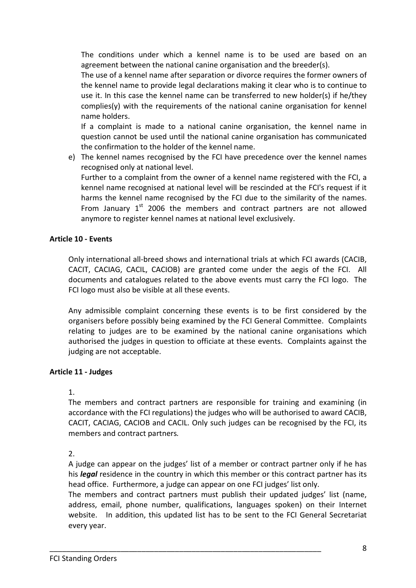The conditions under which a kennel name is to be used are based on an agreement between the national canine organisation and the breeder(s).

The use of a kennel name after separation or divorce requires the former owners of the kennel name to provide legal declarations making it clear who is to continue to use it. In this case the kennel name can be transferred to new holder(s) if he/they complies(y) with the requirements of the national canine organisation for kennel name holders.

If a complaint is made to a national canine organisation, the kennel name in question cannot be used until the national canine organisation has communicated the confirmation to the holder of the kennel name.

e) The kennel names recognised by the FCI have precedence over the kennel names recognised only at national level.

Further to a complaint from the owner of a kennel name registered with the FCI, a kennel name recognised at national level will be rescinded at the FCI's request if it harms the kennel name recognised by the FCI due to the similarity of the names. From January  $1<sup>st</sup>$  2006 the members and contract partners are not allowed anymore to register kennel names at national level exclusively.

# **Article 10 - Events**

Only international all-breed shows and international trials at which FCI awards (CACIB, CACIT, CACIAG, CACIL, CACIOB) are granted come under the aegis of the FCI. All documents and catalogues related to the above events must carry the FCI logo. The FCI logo must also be visible at all these events.

Any admissible complaint concerning these events is to be first considered by the organisers before possibly being examined by the FCI General Committee. Complaints relating to judges are to be examined by the national canine organisations which authorised the judges in question to officiate at these events. Complaints against the judging are not acceptable.

# **Article 11 - Judges**

# 1.

The members and contract partners are responsible for training and examining (in accordance with the FCI regulations) the judges who will be authorised to award CACIB, CACIT, CACIAG, CACIOB and CACIL. Only such judges can be recognised by the FCI, its members and contract partners*.*

2.

A judge can appear on the judges' list of a member or contract partner only if he has his *legal* residence in the country in which this member or this contract partner has its head office. Furthermore, a judge can appear on one FCI judges' list only.

The members and contract partners must publish their updated judges' list (name, address, email, phone number, qualifications, languages spoken) on their Internet website. In addition, this updated list has to be sent to the FCI General Secretariat every year.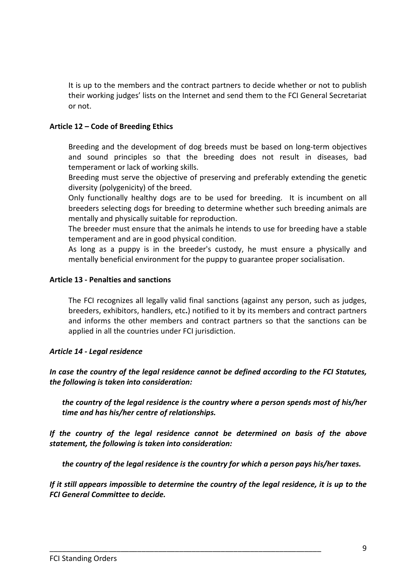It is up to the members and the contract partners to decide whether or not to publish their working judges' lists on the Internet and send them to the FCI General Secretariat or not.

### **Article 12 – Code of Breeding Ethics**

Breeding and the development of dog breeds must be based on long-term objectives and sound principles so that the breeding does not result in diseases, bad temperament or lack of working skills.

Breeding must serve the objective of preserving and preferably extending the genetic diversity (polygenicity) of the breed.

Only functionally healthy dogs are to be used for breeding. It is incumbent on all breeders selecting dogs for breeding to determine whether such breeding animals are mentally and physically suitable for reproduction.

The breeder must ensure that the animals he intends to use for breeding have a stable temperament and are in good physical condition.

As long as a puppy is in the breeder's custody, he must ensure a physically and mentally beneficial environment for the puppy to guarantee proper socialisation.

#### **Article 13 - Penalties and sanctions**

The FCI recognizes all legally valid final sanctions (against any person, such as judges, breeders, exhibitors, handlers, etc**.**) notified to it by its members and contract partners and informs the other members and contract partners so that the sanctions can be applied in all the countries under FCI jurisdiction.

# *Article 14 - Legal residence*

*In case the country of the legal residence cannot be defined according to the FCI Statutes, the following is taken into consideration:* 

*the country of the legal residence is the country where a person spends most of his/her time and has his/her centre of relationships.* 

*If the country of the legal residence cannot be determined on basis of the above statement, the following is taken into consideration:* 

*the country of the legal residence is the country for which a person pays his/her taxes.* 

*If it still appears impossible to determine the country of the legal residence, it is up to the FCI General Committee to decide.*